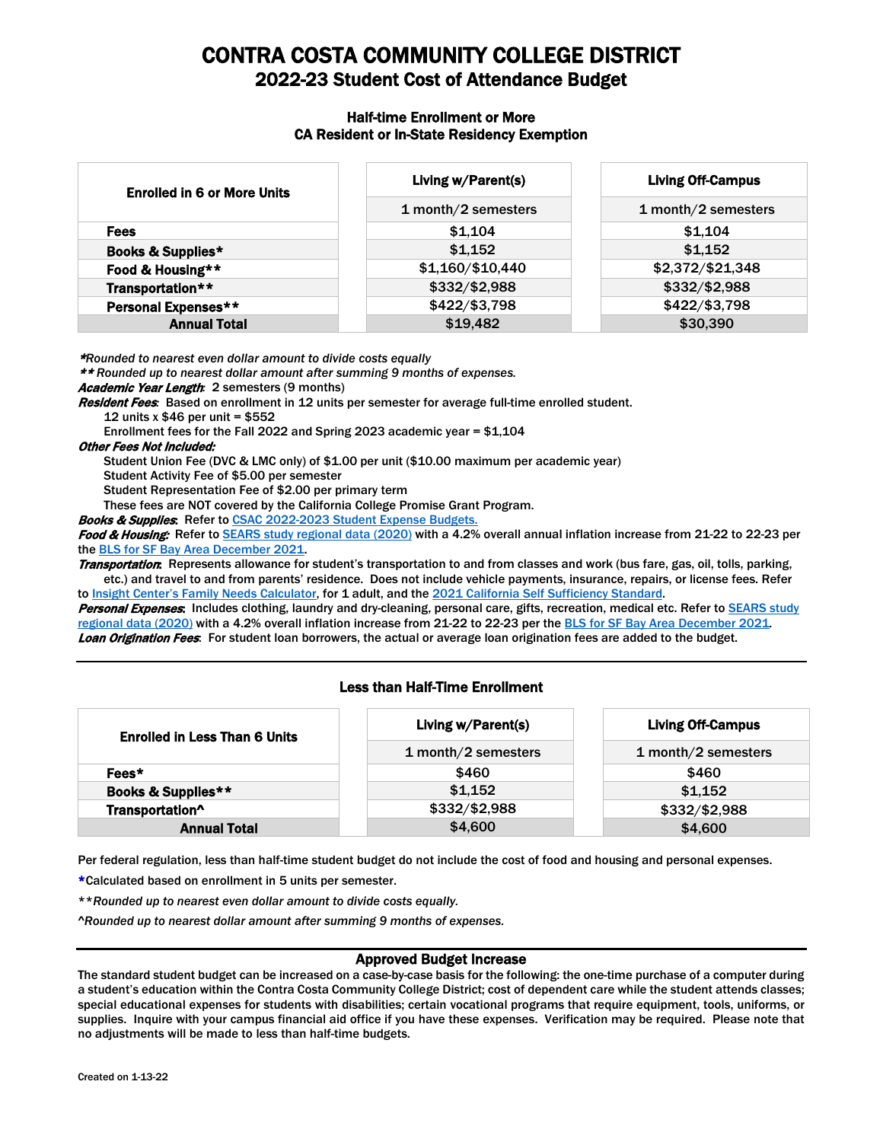# CONTRA COSTA COMMUNITY COLLEGE DISTRICT 2022-23 Student Cost of Attendance Budget

#### Half-time Enrollment or More CA Resident or In-State Residency Exemption

| <b>Enrolled in 6 or More Units</b> | Living w/Parent(s)  | <b>Living Off-Campus</b> |
|------------------------------------|---------------------|--------------------------|
|                                    | 1 month/2 semesters | 1 month/2 semesters      |
| <b>Fees</b>                        | \$1.104             | \$1,104                  |
| Books & Supplies*                  | \$1,152             | \$1,152                  |
| Food & Housing**                   | \$1,160/\$10,440    | \$2,372/\$21,348         |
| Transportation**                   | \$332/\$2,988       | \$332/\$2,988            |
| Personal Expenses**                | \$422/\$3,798       | \$422/\$3,798            |
| <b>Annual Total</b>                | \$19,482            | \$30,390                 |

\**Rounded to nearest even dollar amount to divide costs equally*

\*\* *Rounded up to nearest dollar amount after summing 9 months of expenses.*

Academic Year Length*:* 2 semesters (9 months)

Resident Fees*:* Based on enrollment in 12 units per semester for average full-time enrolled student. 12 units x \$46 per unit = \$552

Enrollment fees for the Fall 2022 and Spring 2023 academic year = \$1,104

#### Other Fees Not Included:

Student Union Fee (DVC & LMC only) of \$1.00 per unit (\$10.00 maximum per academic year)

Student Activity Fee of \$5.00 per semester

Student Representation Fee of \$2.00 per primary term

These fees are NOT covered by the California College Promise Grant Program.

Books & Supplies: Refer to CSAC 2022-2023 [Student Expense Budgets.](https://www.csac.ca.gov/sites/main/files/file-attachments/2022-23_student_expense_budget.pdf?1627574772)

Food & Housing: Refer t[o SEARS study regional data](https://email4cd.sharepoint.com/sites/Districtwide/fapet/Shared%20Documents/Forms/AllItems.aspx?id=%2Fsites%2FDistrictwide%2Ffapet%2FShared%20Documents%2FANNUAL%20SETUP%2F2022%2D23%2FCopy%20of%20SEARS%20microregion%20data%20March%202020%2Epdf&parent=%2Fsites%2FDistrictwide%2Ffapet%2FShared%20Documents%2FANNUAL%20SETUP%2F2022%2D23) (2020) with a 4.2% overall annual inflation increase from 21-22 to 22-23 per th[e BLS for SF Bay Area December](https://www.bls.gov/regions/west/news-release/consumerpriceindex_sanfrancisco.htm) 2021.

Transportation: Represents allowance for student's transportation to and from classes and work (bus fare, gas, oil, tolls, parking, etc.) and travel to and from parents' residence. Does not include vehicle payments, insurance, repairs, or license fees. Refer to [Insight Center's Family Needs Calculator,](https://insightcced.org/family-needs-calculator/) for 1 adult, and the 2021 California Self Sufficiency Standard.

Personal Expenses: Includes clothing, laundry and dry-cleaning, personal care, gifts, recreation, medical etc. Refer to SEARS study regional [data \(2020\)](https://email4cd.sharepoint.com/sites/Districtwide/fapet/Shared%20Documents/Forms/AllItems.aspx?id=%2Fsites%2FDistrictwide%2Ffapet%2FShared%20Documents%2FANNUAL%20SETUP%2F2022%2D23%2FCopy%20of%20SEARS%20microregion%20data%20March%202020%2Epdf&parent=%2Fsites%2FDistrictwide%2Ffapet%2FShared%20Documents%2FANNUAL%20SETUP%2F2022%2D23) with a 4.2% overall inflation increase from 21-22 to 22-23 per the [BLS for SF Bay Area December 2021](https://www.bls.gov/regions/west/news-release/consumerpriceindex_sanfrancisco.htm)*.* Loan Origination Fees: For student loan borrowers, the actual or average loan origination fees are added to the budget.

## Less than Half-Time Enrollment

| <b>Enrolled in Less Than 6 Units</b> | Living w/Parent(s)  | <b>Living Off-Campus</b> |
|--------------------------------------|---------------------|--------------------------|
|                                      | 1 month/2 semesters | 1 month/2 semesters      |
| Fees*                                | \$460               | \$460                    |
| Books & Supplies**                   | \$1.152             | \$1.152                  |
| Transportation^                      | \$332/\$2,988       | \$332/\$2,988            |
| <b>Annual Total</b>                  | \$4,600             | \$4,600                  |

Per federal regulation, less than half-time student budget do not include the cost of food and housing and personal expenses.

\*Calculated based on enrollment in 5 units per semester.

\*\**Rounded up to nearest even dollar amount to divide costs equally.*

*^Rounded up to nearest dollar amount after summing 9 months of expenses.*

### Approved Budget Increase

The standard student budget can be increased on a case-by-case basis for the following: the one-time purchase of a computer during a student's education within the Contra Costa Community College District; cost of dependent care while the student attends classes; special educational expenses for students with disabilities; certain vocational programs that require equipment, tools, uniforms, or supplies. Inquire with your campus financial aid office if you have these expenses. Verification may be required. Please note that no adjustments will be made to less than half-time budgets.